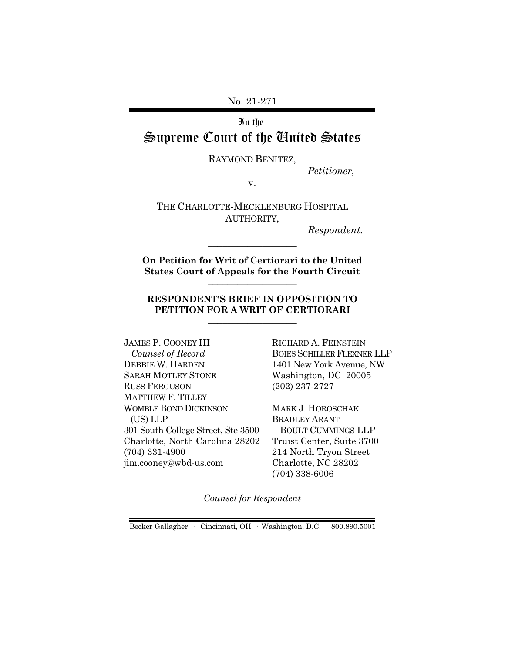No. 21-271

# In the Supreme Court of the United States  $\overline{\phantom{a}}$  , where  $\overline{\phantom{a}}$

RAYMOND BENITEZ,

*Petitioner*,

v.

THE CHARLOTTE-MECKLENBURG HOSPITAL AUTHORITY,

*Respondent.*

**On Petition for Writ of Certiorari to the United States Court of Appeals for the Fourth Circuit** \_\_\_\_\_\_\_\_\_\_\_\_\_\_\_\_\_\_

\_\_\_\_\_\_\_\_\_\_\_\_\_\_\_\_\_\_

### **RESPONDENT'S BRIEF IN OPPOSITION TO PETITION FOR A WRIT OF CERTIORARI** \_\_\_\_\_\_\_\_\_\_\_\_\_\_\_\_\_\_

JAMES P. COONEY III  *Counsel of Record* DEBBIE W. HARDEN SARAH MOTLEY STONE RUSS FERGUSON MATTHEW F. TILLEY WOMBLE BOND DICKINSON (US) LLP 301 South College Street, Ste 3500 Charlotte, North Carolina 28202 (704) 331-4900 jim.cooney@wbd-us.com

RICHARD A. FEINSTEIN BOIES SCHILLER FLEXNER LLP 1401 New York Avenue, NW Washington, DC 20005 (202) 237-2727

MARK J. HOROSCHAK BRADLEY ARANT BOULT CUMMINGS LLP Truist Center, Suite 3700 214 North Tryon Street Charlotte, NC 28202 (704) 338-6006

*Counsel for Respondent*

Becker Gallagher · Cincinnati, OH · Washington, D.C. · 800.890.5001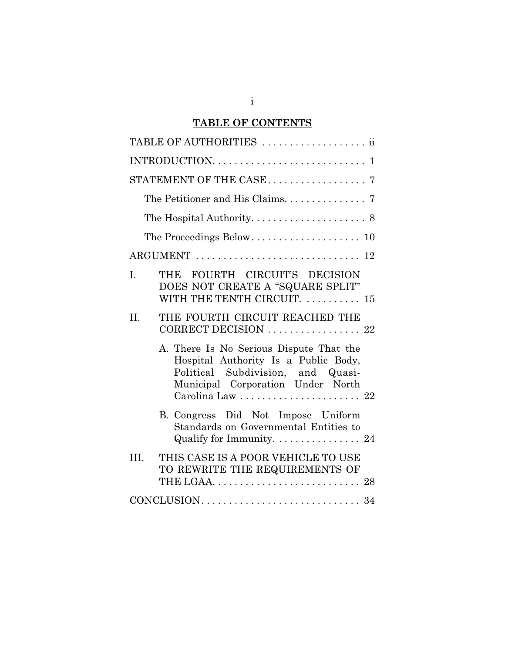# **TABLE OF CONTENTS**

| TABLE OF AUTHORITIES  ii                                                                                                                                                      |
|-------------------------------------------------------------------------------------------------------------------------------------------------------------------------------|
|                                                                                                                                                                               |
|                                                                                                                                                                               |
| The Petitioner and His Claims. 7                                                                                                                                              |
|                                                                                                                                                                               |
|                                                                                                                                                                               |
|                                                                                                                                                                               |
| THE FOURTH CIRCUIT'S DECISION<br>I.<br>DOES NOT CREATE A "SQUARE SPLIT"<br>WITH THE TENTH CIRCUIT.  15                                                                        |
| THE FOURTH CIRCUIT REACHED THE<br>II.<br>CORRECT DECISION  22                                                                                                                 |
| A. There Is No Serious Dispute That the<br>Hospital Authority Is a Public Body,<br>Political Subdivision, and Quasi-<br>Municipal Corporation Under North<br>Carolina Law  22 |
| B. Congress Did Not Impose Uniform<br>Standards on Governmental Entities to<br>Qualify for Immunity. 24                                                                       |
| III.<br>THIS CASE IS A POOR VEHICLE TO USE<br>TO REWRITE THE REQUIREMENTS OF                                                                                                  |
|                                                                                                                                                                               |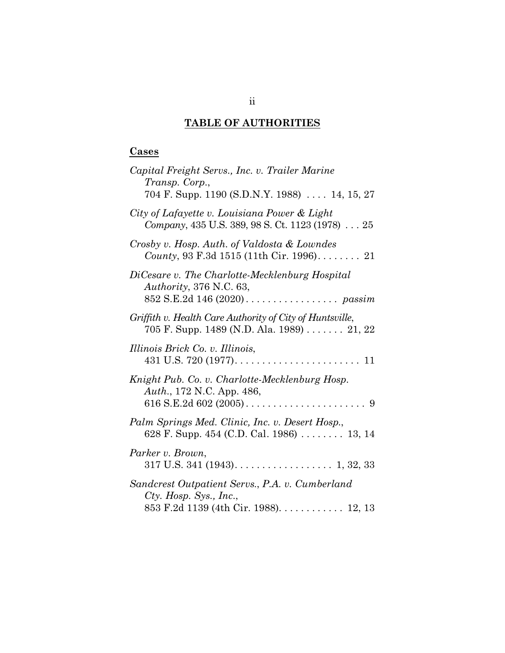# **TABLE OF AUTHORITIES**

# **Cases**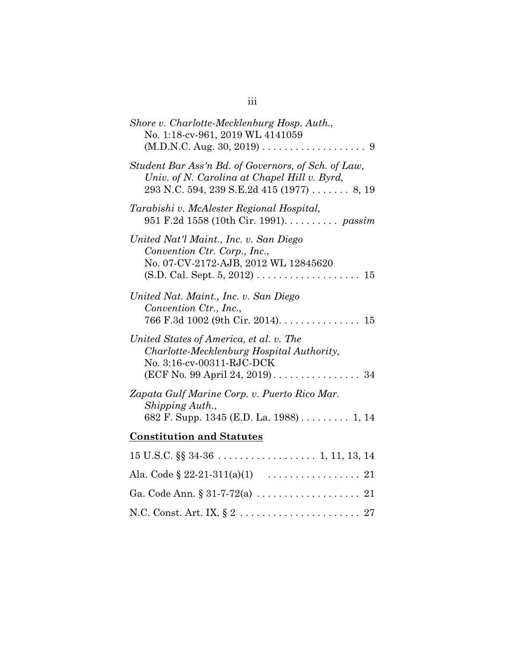| Shore v. Charlotte-Mecklenburg Hosp. Auth.,<br>No. 1:18-cv-961, 2019 WL 4141059                                                                                                     |
|-------------------------------------------------------------------------------------------------------------------------------------------------------------------------------------|
| Student Bar Ass'n Bd. of Governors, of Sch. of Law,<br>Univ. of N. Carolina at Chapel Hill v. Byrd,<br>$293$ N.C. 594, 239 S.E.2d 415 (1977)  8, 19                                 |
| Tarabishi v. McAlester Regional Hospital,<br>951 F.2d 1558 (10th Cir. 1991). <i>passim</i>                                                                                          |
| United Nat'l Maint., Inc. v. San Diego<br>Convention Ctr. Corp., Inc.,<br>No. 07-CV-2172-AJB, 2012 WL 12845620<br>$(S.D. Cal. Sept. 5, 2012) \ldots \ldots \ldots \ldots \ldots 15$ |
| United Nat. Maint., Inc. v. San Diego<br>Convention Ctr., Inc.,<br>766 F.3d 1002 (9th Cir. 2014). 15                                                                                |
| United States of America, et al. v. The<br>Charlotte-Mecklenburg Hospital Authority,<br>No. 3:16-cv-00311-RJC-DCK<br>(ECF No. 99 April 24, 2019) 34                                 |
| Zapata Gulf Marine Corp. v. Puerto Rico Mar.<br>Shipping Auth.,<br>682 F. Supp. 1345 (E.D. La. 1988) 1, 14                                                                          |
| <b>Constitution and Statutes</b>                                                                                                                                                    |
|                                                                                                                                                                                     |
|                                                                                                                                                                                     |
|                                                                                                                                                                                     |
|                                                                                                                                                                                     |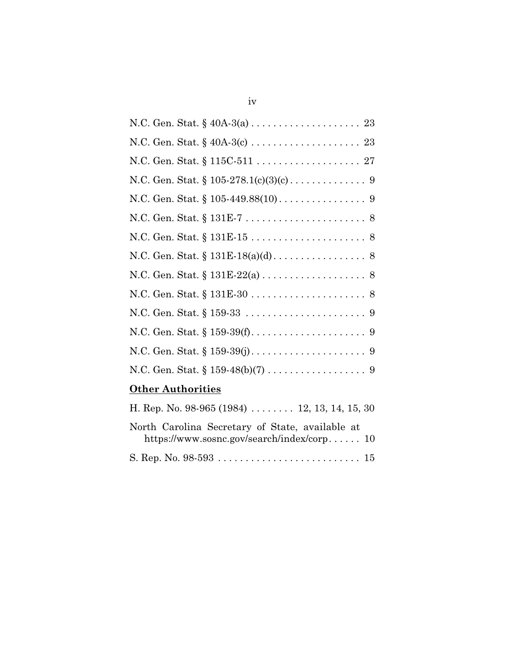# **Other Authorities**

| H. Rep. No. 98-965 (1984)  12, 13, 14, 15, 30   |
|-------------------------------------------------|
| North Carolina Secretary of State, available at |
| https://www.sosnc.gov/search/index/corp $10$    |
|                                                 |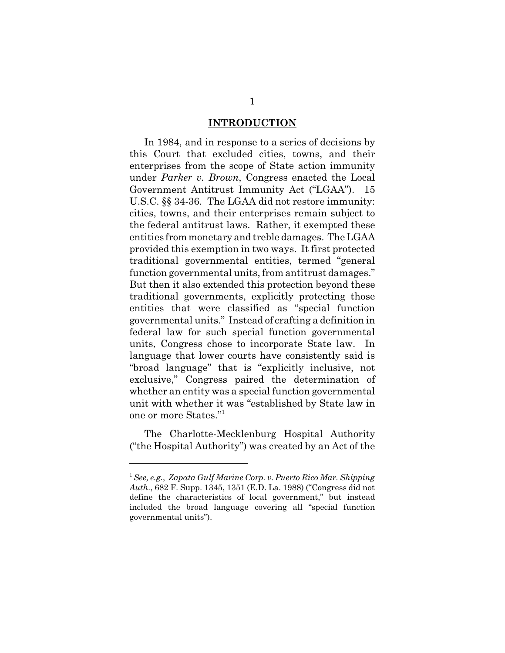### **INTRODUCTION**

In 1984, and in response to a series of decisions by this Court that excluded cities, towns, and their enterprises from the scope of State action immunity under *Parker v. Brown*, Congress enacted the Local Government Antitrust Immunity Act ("LGAA"). 15 U.S.C. §§ 34-36. The LGAA did not restore immunity: cities, towns, and their enterprises remain subject to the federal antitrust laws. Rather, it exempted these entities from monetary and treble damages. The LGAA provided this exemption in two ways. It first protected traditional governmental entities, termed "general function governmental units, from antitrust damages." But then it also extended this protection beyond these traditional governments, explicitly protecting those entities that were classified as "special function governmental units." Instead of crafting a definition in federal law for such special function governmental units, Congress chose to incorporate State law. In language that lower courts have consistently said is "broad language" that is "explicitly inclusive, not exclusive," Congress paired the determination of whether an entity was a special function governmental unit with whether it was "established by State law in one or more States."<sup>1</sup>

The Charlotte-Mecklenburg Hospital Authority ("the Hospital Authority") was created by an Act of the

<sup>1</sup> *See, e.g.*, *Zapata Gulf Marine Corp. v. Puerto Rico Mar. Shipping Auth*., 682 F. Supp. 1345, 1351 (E.D. La. 1988) ("Congress did not define the characteristics of local government," but instead included the broad language covering all "special function governmental units").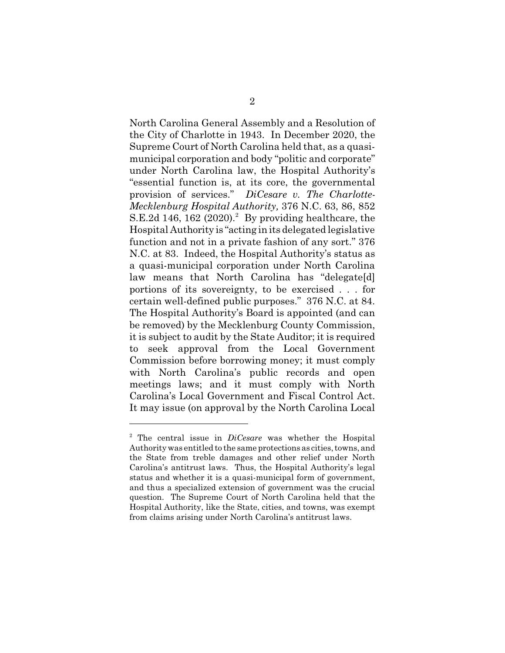North Carolina General Assembly and a Resolution of the City of Charlotte in 1943. In December 2020, the Supreme Court of North Carolina held that, as a quasimunicipal corporation and body "politic and corporate" under North Carolina law, the Hospital Authority's "essential function is, at its core, the governmental provision of services." *DiCesare v. The Charlotte-Mecklenburg Hospital Authority,* 376 N.C. 63, 86, 852 S.E.2d 146, 162  $(2020)^2$  By providing healthcare, the Hospital Authority is "acting in its delegated legislative function and not in a private fashion of any sort." 376 N.C. at 83. Indeed, the Hospital Authority's status as a quasi-municipal corporation under North Carolina law means that North Carolina has "delegate[d] portions of its sovereignty, to be exercised . . . for certain well-defined public purposes." 376 N.C. at 84. The Hospital Authority's Board is appointed (and can be removed) by the Mecklenburg County Commission, it is subject to audit by the State Auditor; it is required to seek approval from the Local Government Commission before borrowing money; it must comply with North Carolina's public records and open meetings laws; and it must comply with North Carolina's Local Government and Fiscal Control Act. It may issue (on approval by the North Carolina Local

<sup>2</sup> The central issue in *DiCesare* was whether the Hospital Authority was entitled to the same protections as cities, towns, and the State from treble damages and other relief under North Carolina's antitrust laws. Thus, the Hospital Authority's legal status and whether it is a quasi-municipal form of government, and thus a specialized extension of government was the crucial question. The Supreme Court of North Carolina held that the Hospital Authority, like the State, cities, and towns, was exempt from claims arising under North Carolina's antitrust laws.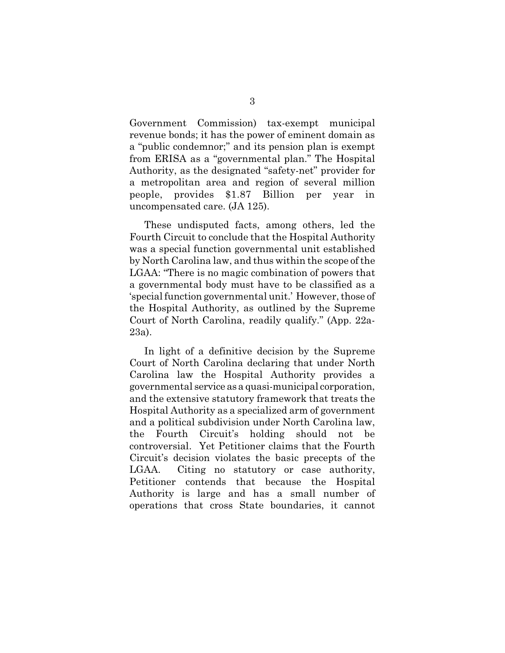Government Commission) tax-exempt municipal revenue bonds; it has the power of eminent domain as a "public condemnor;" and its pension plan is exempt from ERISA as a "governmental plan." The Hospital Authority, as the designated "safety-net" provider for a metropolitan area and region of several million people, provides \$1.87 Billion per year in uncompensated care. (JA 125).

These undisputed facts, among others, led the Fourth Circuit to conclude that the Hospital Authority was a special function governmental unit established by North Carolina law, and thus within the scope of the LGAA: "There is no magic combination of powers that a governmental body must have to be classified as a 'special function governmental unit.' However, those of the Hospital Authority, as outlined by the Supreme Court of North Carolina, readily qualify." (App. 22a-23a).

In light of a definitive decision by the Supreme Court of North Carolina declaring that under North Carolina law the Hospital Authority provides a governmental service as a quasi-municipal corporation, and the extensive statutory framework that treats the Hospital Authority as a specialized arm of government and a political subdivision under North Carolina law, the Fourth Circuit's holding should not be controversial. Yet Petitioner claims that the Fourth Circuit's decision violates the basic precepts of the LGAA. Citing no statutory or case authority, Petitioner contends that because the Hospital Authority is large and has a small number of operations that cross State boundaries, it cannot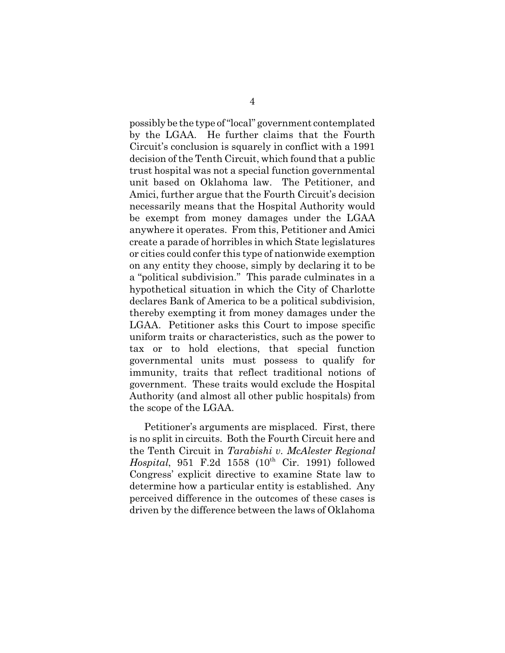possibly be the type of "local" government contemplated by the LGAA. He further claims that the Fourth Circuit's conclusion is squarely in conflict with a 1991 decision of the Tenth Circuit, which found that a public trust hospital was not a special function governmental unit based on Oklahoma law. The Petitioner, and Amici, further argue that the Fourth Circuit's decision necessarily means that the Hospital Authority would be exempt from money damages under the LGAA anywhere it operates. From this, Petitioner and Amici create a parade of horribles in which State legislatures or cities could confer this type of nationwide exemption on any entity they choose, simply by declaring it to be a "political subdivision." This parade culminates in a hypothetical situation in which the City of Charlotte declares Bank of America to be a political subdivision, thereby exempting it from money damages under the LGAA. Petitioner asks this Court to impose specific uniform traits or characteristics, such as the power to tax or to hold elections, that special function governmental units must possess to qualify for immunity, traits that reflect traditional notions of government. These traits would exclude the Hospital Authority (and almost all other public hospitals) from the scope of the LGAA.

Petitioner's arguments are misplaced. First, there is no split in circuits. Both the Fourth Circuit here and the Tenth Circuit in *Tarabishi v. McAlester Regional Hospital*, 951 F.2d 1558 (10<sup>th</sup> Cir. 1991) followed Congress' explicit directive to examine State law to determine how a particular entity is established. Any perceived difference in the outcomes of these cases is driven by the difference between the laws of Oklahoma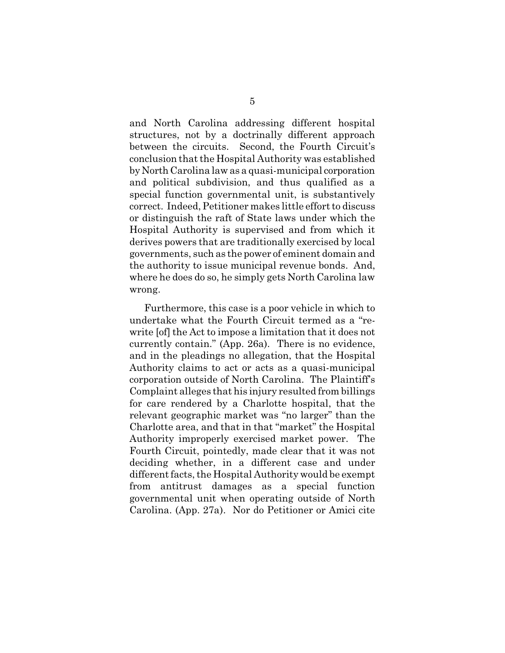and North Carolina addressing different hospital structures, not by a doctrinally different approach between the circuits. Second, the Fourth Circuit's conclusion that the Hospital Authority was established by North Carolina law as a quasi-municipal corporation and political subdivision, and thus qualified as a special function governmental unit, is substantively correct. Indeed, Petitioner makes little effort to discuss or distinguish the raft of State laws under which the Hospital Authority is supervised and from which it derives powers that are traditionally exercised by local governments, such as the power of eminent domain and the authority to issue municipal revenue bonds. And, where he does do so, he simply gets North Carolina law wrong.

Furthermore, this case is a poor vehicle in which to undertake what the Fourth Circuit termed as a "rewrite [of] the Act to impose a limitation that it does not currently contain." (App. 26a). There is no evidence, and in the pleadings no allegation, that the Hospital Authority claims to act or acts as a quasi-municipal corporation outside of North Carolina. The Plaintiff's Complaint alleges that his injury resulted from billings for care rendered by a Charlotte hospital, that the relevant geographic market was "no larger" than the Charlotte area, and that in that "market" the Hospital Authority improperly exercised market power. The Fourth Circuit, pointedly, made clear that it was not deciding whether, in a different case and under different facts, the Hospital Authority would be exempt from antitrust damages as a special function governmental unit when operating outside of North Carolina. (App. 27a). Nor do Petitioner or Amici cite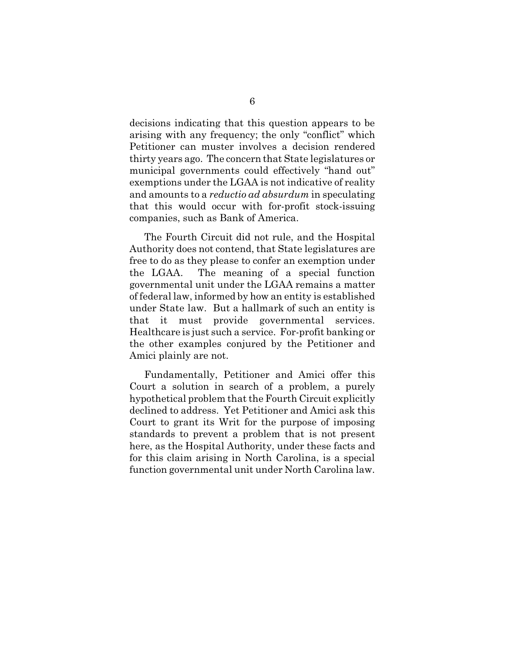decisions indicating that this question appears to be arising with any frequency; the only "conflict" which Petitioner can muster involves a decision rendered thirty years ago. The concern that State legislatures or municipal governments could effectively "hand out" exemptions under the LGAA is not indicative of reality and amounts to a *reductio ad absurdum* in speculating that this would occur with for-profit stock-issuing companies, such as Bank of America.

The Fourth Circuit did not rule, and the Hospital Authority does not contend, that State legislatures are free to do as they please to confer an exemption under the LGAA. The meaning of a special function governmental unit under the LGAA remains a matter of federal law, informed by how an entity is established under State law. But a hallmark of such an entity is that it must provide governmental services. Healthcare is just such a service. For-profit banking or the other examples conjured by the Petitioner and Amici plainly are not.

Fundamentally, Petitioner and Amici offer this Court a solution in search of a problem, a purely hypothetical problem that the Fourth Circuit explicitly declined to address. Yet Petitioner and Amici ask this Court to grant its Writ for the purpose of imposing standards to prevent a problem that is not present here, as the Hospital Authority, under these facts and for this claim arising in North Carolina, is a special function governmental unit under North Carolina law.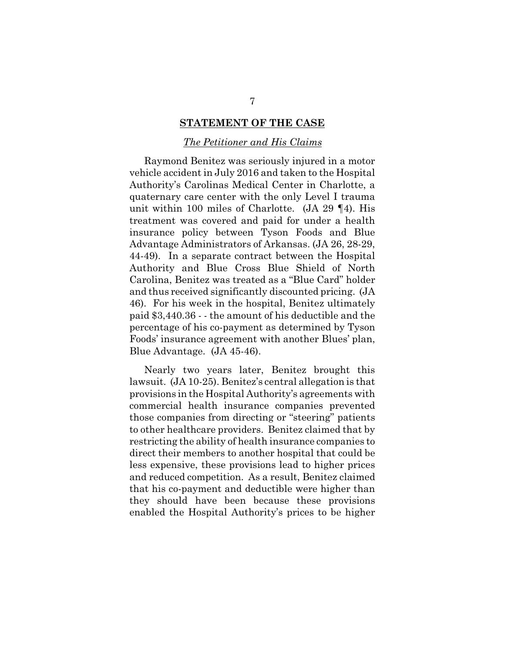### **STATEMENT OF THE CASE**

### *The Petitioner and His Claims*

Raymond Benitez was seriously injured in a motor vehicle accident in July 2016 and taken to the Hospital Authority's Carolinas Medical Center in Charlotte, a quaternary care center with the only Level I trauma unit within 100 miles of Charlotte. (JA 29 ¶4). His treatment was covered and paid for under a health insurance policy between Tyson Foods and Blue Advantage Administrators of Arkansas. (JA 26, 28-29, 44-49). In a separate contract between the Hospital Authority and Blue Cross Blue Shield of North Carolina, Benitez was treated as a "Blue Card" holder and thus received significantly discounted pricing. (JA 46). For his week in the hospital, Benitez ultimately paid \$3,440.36 - - the amount of his deductible and the percentage of his co-payment as determined by Tyson Foods' insurance agreement with another Blues' plan, Blue Advantage. (JA 45-46).

Nearly two years later, Benitez brought this lawsuit. (JA 10-25). Benitez's central allegation is that provisions in the Hospital Authority's agreements with commercial health insurance companies prevented those companies from directing or "steering" patients to other healthcare providers. Benitez claimed that by restricting the ability of health insurance companies to direct their members to another hospital that could be less expensive, these provisions lead to higher prices and reduced competition. As a result, Benitez claimed that his co-payment and deductible were higher than they should have been because these provisions enabled the Hospital Authority's prices to be higher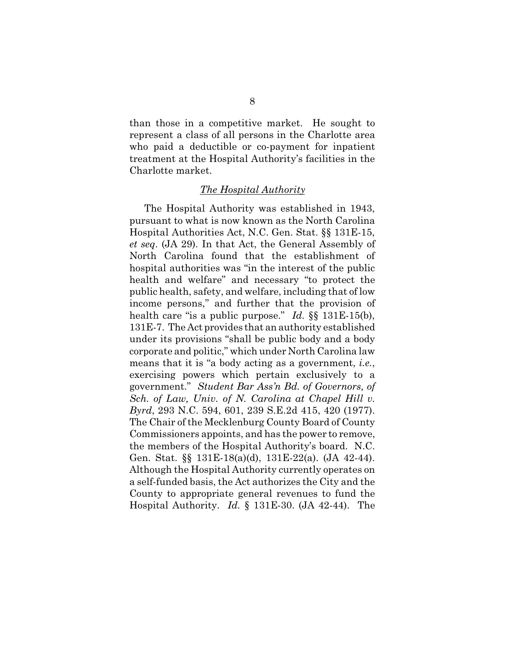than those in a competitive market. He sought to represent a class of all persons in the Charlotte area who paid a deductible or co-payment for inpatient treatment at the Hospital Authority's facilities in the Charlotte market.

#### *The Hospital Authority*

The Hospital Authority was established in 1943, pursuant to what is now known as the North Carolina Hospital Authorities Act, N.C. Gen. Stat. §§ 131E-15, *et seq*. (JA 29). In that Act, the General Assembly of North Carolina found that the establishment of hospital authorities was "in the interest of the public health and welfare" and necessary "to protect the public health, safety, and welfare, including that of low income persons," and further that the provision of health care "is a public purpose." *Id.* §§ 131E-15(b), 131E-7. The Act provides that an authority established under its provisions "shall be public body and a body corporate and politic," which under North Carolina law means that it is "a body acting as a government, *i.e.*, exercising powers which pertain exclusively to a government." *Student Bar Ass'n Bd. of Governors, of Sch. of Law, Univ. of N. Carolina at Chapel Hill v. Byrd*, 293 N.C. 594, 601, 239 S.E.2d 415, 420 (1977). The Chair of the Mecklenburg County Board of County Commissioners appoints, and has the power to remove, the members of the Hospital Authority's board. N.C. Gen. Stat. §§ 131E-18(a)(d), 131E-22(a). (JA 42-44). Although the Hospital Authority currently operates on a self-funded basis, the Act authorizes the City and the County to appropriate general revenues to fund the Hospital Authority. *Id.* § 131E-30. (JA 42-44). The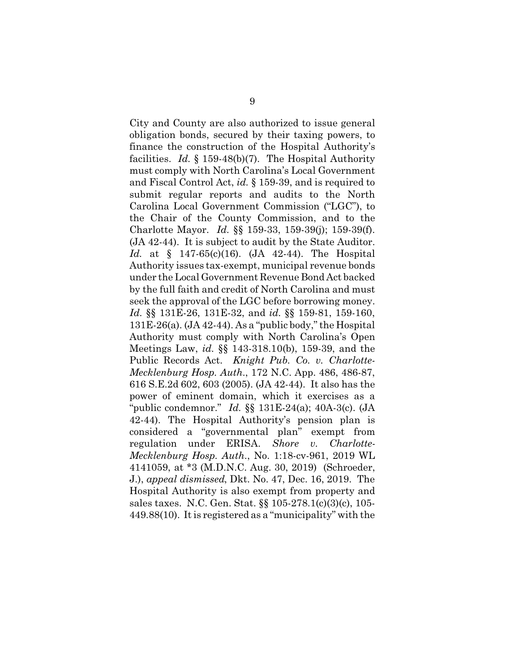City and County are also authorized to issue general obligation bonds, secured by their taxing powers, to finance the construction of the Hospital Authority's facilities. *Id.* § 159-48(b)(7). The Hospital Authority must comply with North Carolina's Local Government and Fiscal Control Act, *id.* § 159-39, and is required to submit regular reports and audits to the North Carolina Local Government Commission ("LGC"), to the Chair of the County Commission, and to the Charlotte Mayor. *Id.* §§ 159-33, 159-39(j); 159-39(f). (JA 42-44). It is subject to audit by the State Auditor. *Id.* at § 147-65(c)(16). (JA 42-44). The Hospital Authority issues tax-exempt, municipal revenue bonds under the Local Government Revenue Bond Act backed by the full faith and credit of North Carolina and must seek the approval of the LGC before borrowing money. *Id.* §§ 131E-26, 131E-32, and *id.* §§ 159-81, 159-160, 131E-26(a). (JA 42-44). As a "public body," the Hospital Authority must comply with North Carolina's Open Meetings Law, *id.* §§ 143-318.10(b), 159-39, and the Public Records Act. *Knight Pub. Co. v. Charlotte-Mecklenburg Hosp. Auth*., 172 N.C. App. 486, 486-87, 616 S.E.2d 602, 603 (2005). (JA 42-44). It also has the power of eminent domain, which it exercises as a "public condemnor." *Id.* §§ 131E-24(a); 40A-3(c). (JA 42-44). The Hospital Authority's pension plan is considered a "governmental plan" exempt from regulation under ERISA. *Shore v. Charlotte-Mecklenburg Hosp. Auth*., No. 1:18-cv-961, 2019 WL 4141059, at \*3 (M.D.N.C. Aug. 30, 2019) (Schroeder, J.), *appeal dismissed*, Dkt. No. 47, Dec. 16, 2019. The Hospital Authority is also exempt from property and sales taxes. N.C. Gen. Stat. §§ 105-278.1(c)(3)(c), 105- 449.88(10). It is registered as a "municipality" with the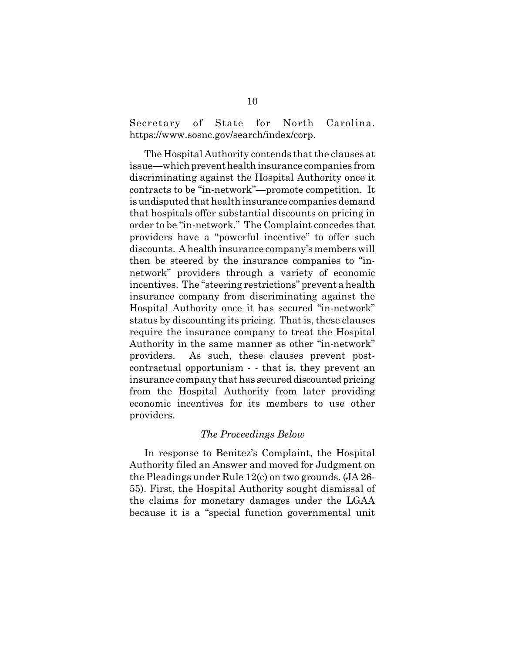Secretary of State for North Carolina. https://www.sosnc.gov/search/index/corp.

The Hospital Authority contends that the clauses at issue—which prevent health insurance companies from discriminating against the Hospital Authority once it contracts to be "in-network"—promote competition. It is undisputed that health insurance companies demand that hospitals offer substantial discounts on pricing in order to be "in-network." The Complaint concedes that providers have a "powerful incentive" to offer such discounts. A health insurance company's members will then be steered by the insurance companies to "innetwork" providers through a variety of economic incentives. The "steering restrictions" prevent a health insurance company from discriminating against the Hospital Authority once it has secured "in-network" status by discounting its pricing. That is, these clauses require the insurance company to treat the Hospital Authority in the same manner as other "in-network" providers. As such, these clauses prevent postcontractual opportunism - - that is, they prevent an insurance company that has secured discounted pricing from the Hospital Authority from later providing economic incentives for its members to use other providers.

## *The Proceedings Below*

In response to Benitez's Complaint, the Hospital Authority filed an Answer and moved for Judgment on the Pleadings under Rule 12(c) on two grounds. (JA 26- 55). First, the Hospital Authority sought dismissal of the claims for monetary damages under the LGAA because it is a "special function governmental unit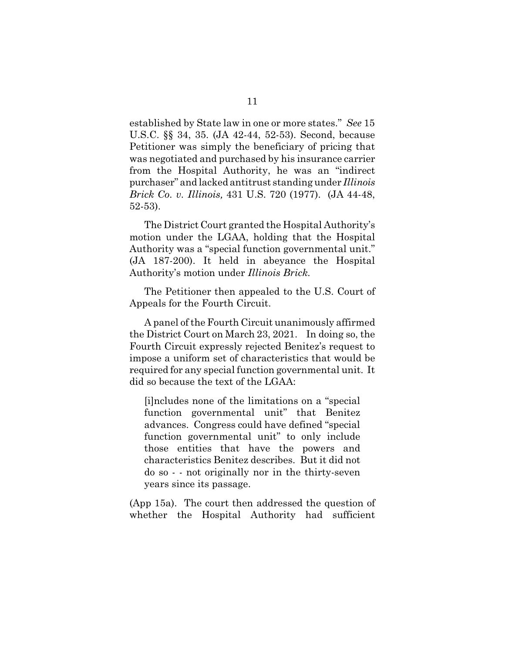established by State law in one or more states." *See* 15 U.S.C. §§ 34, 35. (JA 42-44, 52-53). Second, because Petitioner was simply the beneficiary of pricing that was negotiated and purchased by his insurance carrier from the Hospital Authority, he was an "indirect purchaser" and lacked antitrust standing under *Illinois Brick Co. v. Illinois,* 431 U.S. 720 (1977). (JA 44-48, 52-53).

The District Court granted the Hospital Authority's motion under the LGAA, holding that the Hospital Authority was a "special function governmental unit." (JA 187-200). It held in abeyance the Hospital Authority's motion under *Illinois Brick*.

The Petitioner then appealed to the U.S. Court of Appeals for the Fourth Circuit.

A panel of the Fourth Circuit unanimously affirmed the District Court on March 23, 2021. In doing so, the Fourth Circuit expressly rejected Benitez's request to impose a uniform set of characteristics that would be required for any special function governmental unit. It did so because the text of the LGAA:

[i]ncludes none of the limitations on a "special function governmental unit" that Benitez advances. Congress could have defined "special function governmental unit" to only include those entities that have the powers and characteristics Benitez describes. But it did not do so - - not originally nor in the thirty-seven years since its passage.

(App 15a). The court then addressed the question of whether the Hospital Authority had sufficient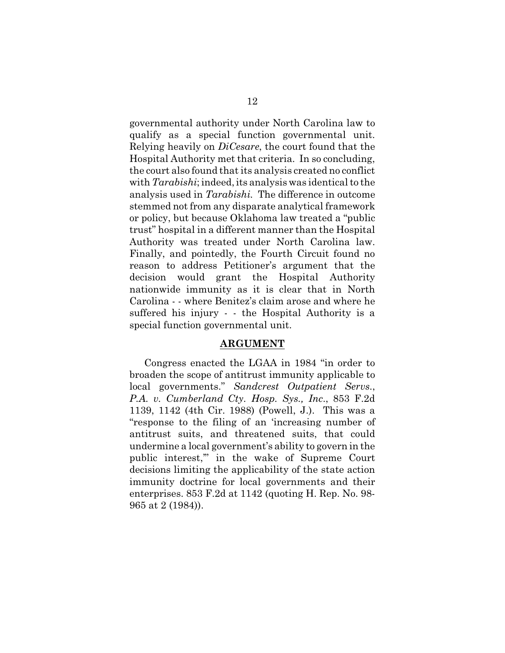governmental authority under North Carolina law to qualify as a special function governmental unit. Relying heavily on *DiCesare*, the court found that the Hospital Authority met that criteria. In so concluding, the court also found that its analysis created no conflict with *Tarabishi*; indeed, its analysis was identical to the analysis used in *Tarabishi.* The difference in outcome stemmed not from any disparate analytical framework or policy, but because Oklahoma law treated a "public trust" hospital in a different manner than the Hospital Authority was treated under North Carolina law. Finally, and pointedly, the Fourth Circuit found no reason to address Petitioner's argument that the decision would grant the Hospital Authority nationwide immunity as it is clear that in North Carolina - - where Benitez's claim arose and where he suffered his injury - - the Hospital Authority is a special function governmental unit.

#### **ARGUMENT**

Congress enacted the LGAA in 1984 "in order to broaden the scope of antitrust immunity applicable to local governments." *Sandcrest Outpatient Servs*., *P.A. v. Cumberland Cty. Hosp. Sys., Inc*., 853 F.2d 1139, 1142 (4th Cir. 1988) (Powell, J.). This was a "response to the filing of an 'increasing number of antitrust suits, and threatened suits, that could undermine a local government's ability to govern in the public interest,'" in the wake of Supreme Court decisions limiting the applicability of the state action immunity doctrine for local governments and their enterprises. 853 F.2d at 1142 (quoting H. Rep. No. 98- 965 at 2 (1984)).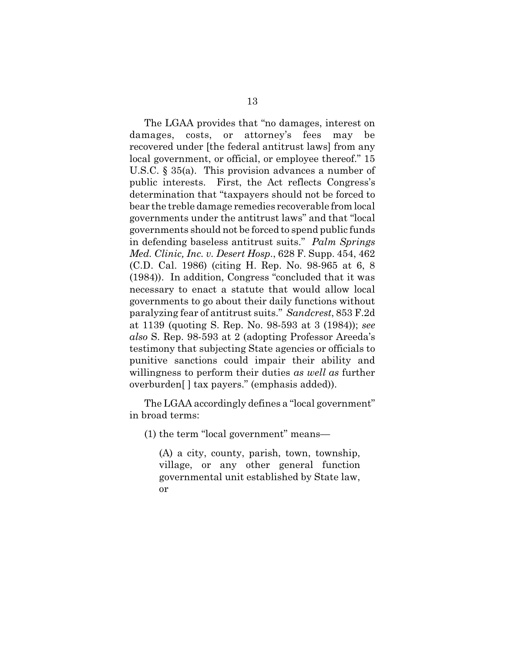The LGAA provides that "no damages, interest on damages, costs, or attorney's fees may be recovered under [the federal antitrust laws] from any local government, or official, or employee thereof." 15 U.S.C. § 35(a). This provision advances a number of public interests. First, the Act reflects Congress's determination that "taxpayers should not be forced to bear the treble damage remedies recoverable from local governments under the antitrust laws" and that "local governments should not be forced to spend public funds in defending baseless antitrust suits." *Palm Springs Med. Clinic, Inc. v. Desert Hosp*., 628 F. Supp. 454, 462 (C.D. Cal. 1986) (citing H. Rep. No. 98-965 at 6, 8 (1984)). In addition, Congress "concluded that it was necessary to enact a statute that would allow local governments to go about their daily functions without paralyzing fear of antitrust suits." *Sandcrest*, 853 F.2d at 1139 (quoting S. Rep. No. 98-593 at 3 (1984)); *see also* S. Rep. 98-593 at 2 (adopting Professor Areeda's testimony that subjecting State agencies or officials to punitive sanctions could impair their ability and willingness to perform their duties *as well as* further overburden[ ] tax payers." (emphasis added)).

The LGAA accordingly defines a "local government" in broad terms:

(1) the term "local government" means—

(A) a city, county, parish, town, township, village, or any other general function governmental unit established by State law, or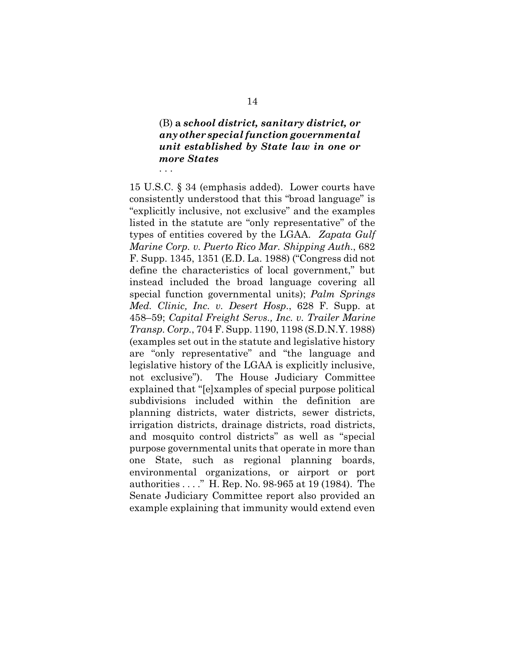### (B) **a** *school district, sanitary district, or any other special function governmental unit established by State law in one or more States* . . .

15 U.S.C. § 34 (emphasis added). Lower courts have consistently understood that this "broad language" is "explicitly inclusive, not exclusive" and the examples listed in the statute are "only representative" of the types of entities covered by the LGAA. *Zapata Gulf Marine Corp. v. Puerto Rico Mar. Shipping Auth*., 682 F. Supp. 1345, 1351 (E.D. La. 1988) ("Congress did not define the characteristics of local government," but instead included the broad language covering all special function governmental units); *Palm Springs Med. Clinic, Inc. v. Desert Hosp*., 628 F. Supp. at 458–59; *Capital Freight Servs., Inc. v. Trailer Marine Transp. Corp.*, 704 F. Supp. 1190, 1198 (S.D.N.Y. 1988) (examples set out in the statute and legislative history are "only representative" and "the language and legislative history of the LGAA is explicitly inclusive, not exclusive"). The House Judiciary Committee explained that "[e]xamples of special purpose political subdivisions included within the definition are planning districts, water districts, sewer districts, irrigation districts, drainage districts, road districts, and mosquito control districts" as well as "special purpose governmental units that operate in more than one State, such as regional planning boards, environmental organizations, or airport or port authorities . . . ." H. Rep. No. 98-965 at 19 (1984). The Senate Judiciary Committee report also provided an example explaining that immunity would extend even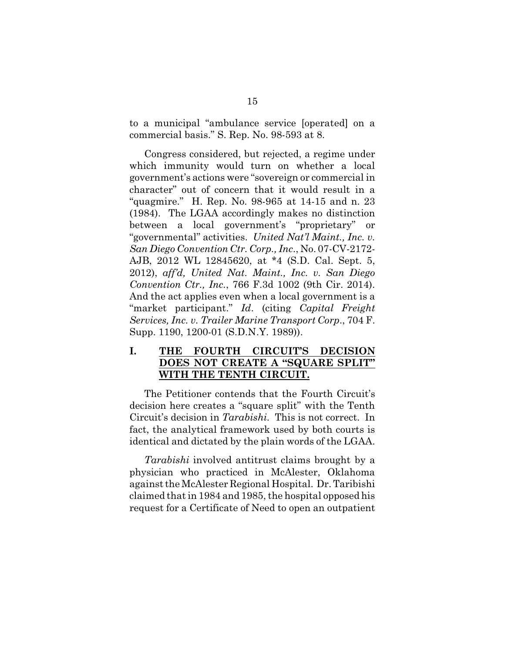to a municipal "ambulance service [operated] on a commercial basis." S. Rep. No. 98-593 at 8.

Congress considered, but rejected, a regime under which immunity would turn on whether a local government's actions were "sovereign or commercial in character" out of concern that it would result in a "quagmire." H. Rep. No. 98-965 at 14-15 and n. 23 (1984). The LGAA accordingly makes no distinction between a local government's "proprietary" or "governmental" activities. *United Nat'l Maint., Inc. v. San Diego Convention Ctr. Corp., Inc*., No. 07-CV-2172- AJB, 2012 WL 12845620, at \*4 (S.D. Cal. Sept. 5, 2012), *aff'd, United Nat. Maint., Inc. v. San Diego Convention Ctr., Inc.*, 766 F.3d 1002 (9th Cir. 2014). And the act applies even when a local government is a "market participant." *Id*. (citing *Capital Freight Services, Inc. v. Trailer Marine Transport Corp*., 704 F. Supp. 1190, 1200-01 (S.D.N.Y. 1989)).

## **I. THE FOURTH CIRCUIT'S DECISION DOES NOT CREATE A "SQUARE SPLIT" WITH THE TENTH CIRCUIT.**

The Petitioner contends that the Fourth Circuit's decision here creates a "square split" with the Tenth Circuit's decision in *Tarabishi.* This is not correct. In fact, the analytical framework used by both courts is identical and dictated by the plain words of the LGAA.

*Tarabishi* involved antitrust claims brought by a physician who practiced in McAlester, Oklahoma against the McAlester Regional Hospital. Dr. Taribishi claimed that in 1984 and 1985, the hospital opposed his request for a Certificate of Need to open an outpatient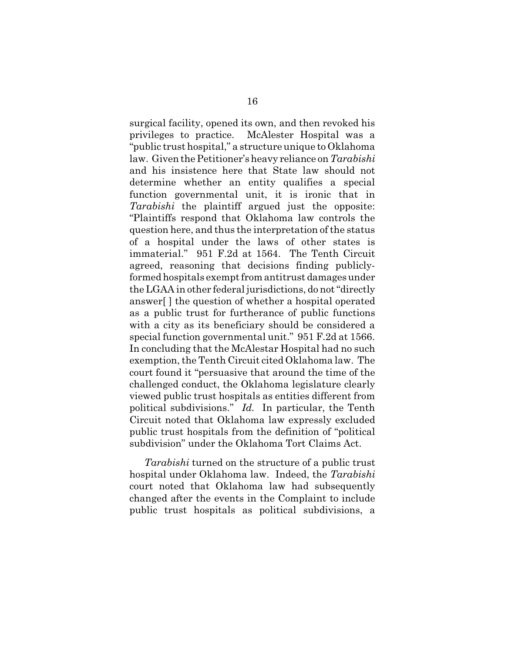surgical facility, opened its own, and then revoked his privileges to practice. McAlester Hospital was a "public trust hospital," a structure unique to Oklahoma law. Given the Petitioner's heavy reliance on *Tarabishi* and his insistence here that State law should not determine whether an entity qualifies a special function governmental unit, it is ironic that in *Tarabishi* the plaintiff argued just the opposite: "Plaintiffs respond that Oklahoma law controls the question here, and thus the interpretation of the status of a hospital under the laws of other states is immaterial." 951 F.2d at 1564. The Tenth Circuit agreed, reasoning that decisions finding publiclyformed hospitals exempt from antitrust damages under the LGAA in other federal jurisdictions, do not "directly answer[ ] the question of whether a hospital operated as a public trust for furtherance of public functions with a city as its beneficiary should be considered a special function governmental unit." 951 F.2d at 1566. In concluding that the McAlestar Hospital had no such exemption, the Tenth Circuit cited Oklahoma law. The court found it "persuasive that around the time of the challenged conduct, the Oklahoma legislature clearly viewed public trust hospitals as entities different from political subdivisions." *Id.* In particular, the Tenth Circuit noted that Oklahoma law expressly excluded public trust hospitals from the definition of "political subdivision" under the Oklahoma Tort Claims Act.

*Tarabishi* turned on the structure of a public trust hospital under Oklahoma law. Indeed, the *Tarabishi* court noted that Oklahoma law had subsequently changed after the events in the Complaint to include public trust hospitals as political subdivisions, a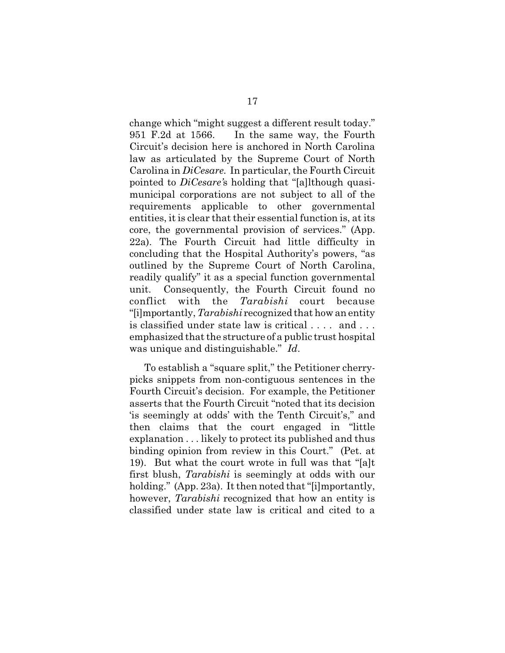change which "might suggest a different result today." 951 F.2d at 1566. In the same way, the Fourth Circuit's decision here is anchored in North Carolina law as articulated by the Supreme Court of North Carolina in *DiCesare.* In particular, the Fourth Circuit pointed to *DiCesare'*s holding that "[a]lthough quasimunicipal corporations are not subject to all of the requirements applicable to other governmental entities, it is clear that their essential function is, at its core, the governmental provision of services." (App. 22a). The Fourth Circuit had little difficulty in concluding that the Hospital Authority's powers, "as outlined by the Supreme Court of North Carolina, readily qualify" it as a special function governmental unit. Consequently, the Fourth Circuit found no conflict with the *Tarabishi* court because "[i]mportantly, *Tarabishi* recognized that how an entity is classified under state law is critical . . . . and . . . emphasized that the structure of a public trust hospital was unique and distinguishable." *Id*.

To establish a "square split," the Petitioner cherrypicks snippets from non-contiguous sentences in the Fourth Circuit's decision. For example, the Petitioner asserts that the Fourth Circuit "noted that its decision 'is seemingly at odds' with the Tenth Circuit's," and then claims that the court engaged in "little explanation . . . likely to protect its published and thus binding opinion from review in this Court." (Pet. at 19). But what the court wrote in full was that "[a]t first blush, *Tarabishi* is seemingly at odds with our holding." (App. 23a). It then noted that "[i]mportantly, however, *Tarabishi* recognized that how an entity is classified under state law is critical and cited to a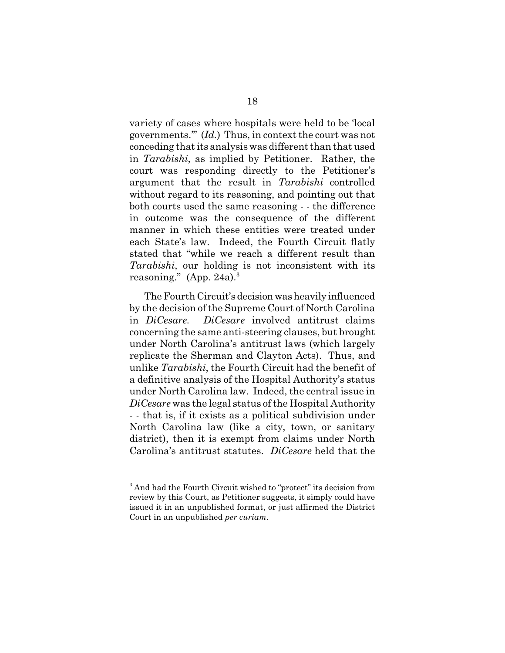variety of cases where hospitals were held to be 'local governments.'" (*Id.*)Thus, in context the court was not conceding that its analysis was different than that used in *Tarabishi*, as implied by Petitioner. Rather, the court was responding directly to the Petitioner's argument that the result in *Tarabishi* controlled without regard to its reasoning, and pointing out that both courts used the same reasoning - - the difference in outcome was the consequence of the different manner in which these entities were treated under each State's law. Indeed, the Fourth Circuit flatly stated that "while we reach a different result than *Tarabishi*, our holding is not inconsistent with its reasoning." (App. 24a). $3$ 

The Fourth Circuit's decision was heavily influenced by the decision of the Supreme Court of North Carolina in *DiCesare. DiCesare* involved antitrust claims concerning the same anti-steering clauses, but brought under North Carolina's antitrust laws (which largely replicate the Sherman and Clayton Acts). Thus, and unlike *Tarabishi*, the Fourth Circuit had the benefit of a definitive analysis of the Hospital Authority's status under North Carolina law. Indeed, the central issue in *DiCesare* was the legal status of the Hospital Authority - - that is, if it exists as a political subdivision under North Carolina law (like a city, town, or sanitary district), then it is exempt from claims under North Carolina's antitrust statutes. *DiCesare* held that the

<sup>&</sup>lt;sup>3</sup> And had the Fourth Circuit wished to "protect" its decision from review by this Court, as Petitioner suggests, it simply could have issued it in an unpublished format, or just affirmed the District Court in an unpublished *per curiam*.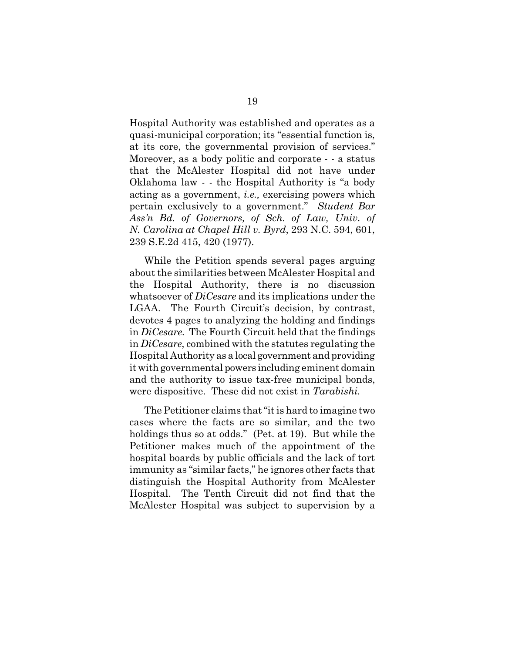Hospital Authority was established and operates as a quasi-municipal corporation; its "essential function is, at its core, the governmental provision of services." Moreover, as a body politic and corporate - - a status that the McAlester Hospital did not have under Oklahoma law - - the Hospital Authority is "a body acting as a government, *i.e.,* exercising powers which pertain exclusively to a government." *Student Bar Ass'n Bd. of Governors, of Sch. of Law, Univ. of N. Carolina at Chapel Hill v. Byrd*, 293 N.C. 594, 601, 239 S.E.2d 415, 420 (1977).

While the Petition spends several pages arguing about the similarities between McAlester Hospital and the Hospital Authority, there is no discussion whatsoever of *DiCesare* and its implications under the LGAA. The Fourth Circuit's decision, by contrast, devotes 4 pages to analyzing the holding and findings in *DiCesare*. The Fourth Circuit held that the findings in *DiCesare*, combined with the statutes regulating the Hospital Authority as a local government and providing it with governmental powers including eminent domain and the authority to issue tax-free municipal bonds, were dispositive. These did not exist in *Tarabishi.*

The Petitioner claims that "it is hard to imagine two cases where the facts are so similar, and the two holdings thus so at odds." (Pet. at 19). But while the Petitioner makes much of the appointment of the hospital boards by public officials and the lack of tort immunity as "similar facts," he ignores other facts that distinguish the Hospital Authority from McAlester Hospital. The Tenth Circuit did not find that the McAlester Hospital was subject to supervision by a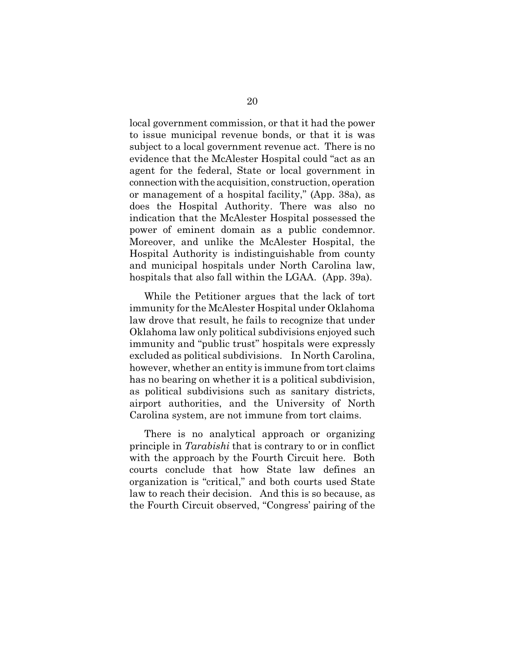local government commission, or that it had the power to issue municipal revenue bonds, or that it is was subject to a local government revenue act. There is no evidence that the McAlester Hospital could "act as an agent for the federal, State or local government in connection with the acquisition, construction, operation or management of a hospital facility," (App. 38a), as does the Hospital Authority. There was also no indication that the McAlester Hospital possessed the power of eminent domain as a public condemnor. Moreover, and unlike the McAlester Hospital, the Hospital Authority is indistinguishable from county and municipal hospitals under North Carolina law, hospitals that also fall within the LGAA. (App. 39a).

While the Petitioner argues that the lack of tort immunity for the McAlester Hospital under Oklahoma law drove that result, he fails to recognize that under Oklahoma law only political subdivisions enjoyed such immunity and "public trust" hospitals were expressly excluded as political subdivisions. In North Carolina, however, whether an entity is immune from tort claims has no bearing on whether it is a political subdivision, as political subdivisions such as sanitary districts, airport authorities, and the University of North Carolina system, are not immune from tort claims.

There is no analytical approach or organizing principle in *Tarabishi* that is contrary to or in conflict with the approach by the Fourth Circuit here. Both courts conclude that how State law defines an organization is "critical," and both courts used State law to reach their decision. And this is so because, as the Fourth Circuit observed, "Congress' pairing of the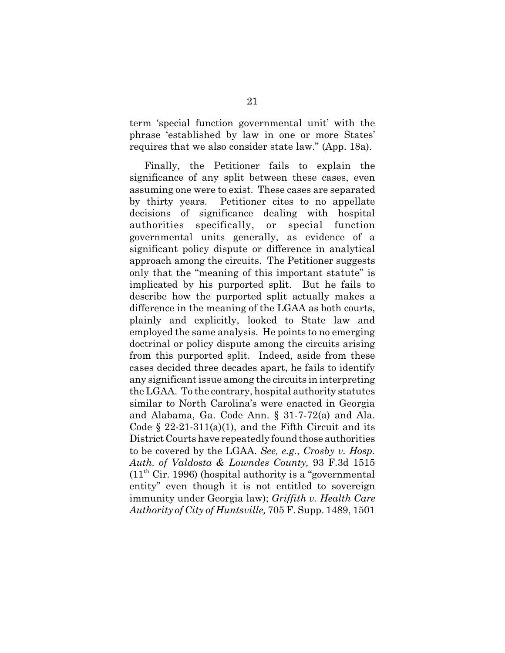term 'special function governmental unit' with the phrase 'established by law in one or more States' requires that we also consider state law." (App. 18a).

Finally, the Petitioner fails to explain the significance of any split between these cases, even assuming one were to exist. These cases are separated by thirty years. Petitioner cites to no appellate decisions of significance dealing with hospital authorities specifically, or special function governmental units generally, as evidence of a significant policy dispute or difference in analytical approach among the circuits. The Petitioner suggests only that the "meaning of this important statute" is implicated by his purported split. But he fails to describe how the purported split actually makes a difference in the meaning of the LGAA as both courts, plainly and explicitly, looked to State law and employed the same analysis. He points to no emerging doctrinal or policy dispute among the circuits arising from this purported split. Indeed, aside from these cases decided three decades apart, he fails to identify any significant issue among the circuits in interpreting the LGAA. To the contrary, hospital authority statutes similar to North Carolina's were enacted in Georgia and Alabama, Ga. Code Ann. § 31-7-72(a) and Ala. Code  $\S$  22-21-311(a)(1), and the Fifth Circuit and its District Courts have repeatedly found those authorities to be covered by the LGAA. *See, e.g., Crosby v. Hosp. Auth. of Valdosta & Lowndes County,* 93 F.3d 1515  $(11<sup>th</sup> Cir. 1996)$  (hospital authority is a "governmental") entity" even though it is not entitled to sovereign immunity under Georgia law); *Griffith v. Health Care Authority of City of Huntsville,* 705 F. Supp. 1489, 1501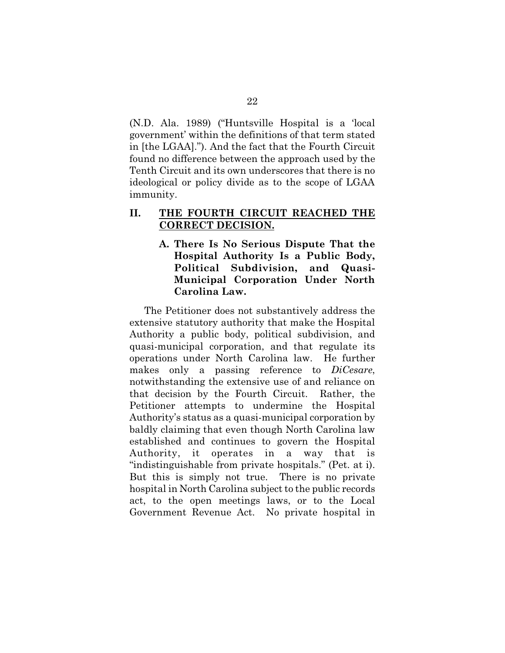(N.D. Ala. 1989) ("Huntsville Hospital is a 'local government' within the definitions of that term stated in [the LGAA]."). And the fact that the Fourth Circuit found no difference between the approach used by the Tenth Circuit and its own underscores that there is no ideological or policy divide as to the scope of LGAA immunity.

## **II. THE FOURTH CIRCUIT REACHED THE CORRECT DECISION.**

**A. There Is No Serious Dispute That the Hospital Authority Is a Public Body, Political Subdivision, and Quasi-Municipal Corporation Under North Carolina Law.**

The Petitioner does not substantively address the extensive statutory authority that make the Hospital Authority a public body, political subdivision, and quasi-municipal corporation, and that regulate its operations under North Carolina law. He further makes only a passing reference to *DiCesare*, notwithstanding the extensive use of and reliance on that decision by the Fourth Circuit. Rather, the Petitioner attempts to undermine the Hospital Authority's status as a quasi-municipal corporation by baldly claiming that even though North Carolina law established and continues to govern the Hospital Authority, it operates in a way that is "indistinguishable from private hospitals." (Pet. at i). But this is simply not true. There is no private hospital in North Carolina subject to the public records act, to the open meetings laws, or to the Local Government Revenue Act. No private hospital in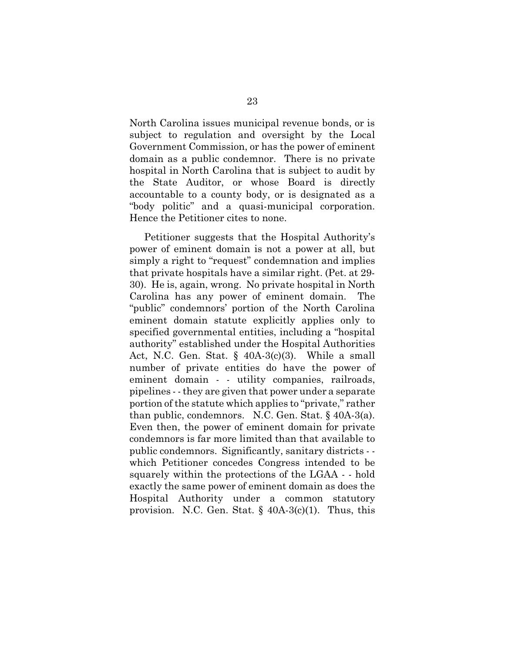North Carolina issues municipal revenue bonds, or is subject to regulation and oversight by the Local Government Commission, or has the power of eminent domain as a public condemnor. There is no private hospital in North Carolina that is subject to audit by the State Auditor, or whose Board is directly accountable to a county body, or is designated as a "body politic" and a quasi-municipal corporation. Hence the Petitioner cites to none.

Petitioner suggests that the Hospital Authority's power of eminent domain is not a power at all, but simply a right to "request" condemnation and implies that private hospitals have a similar right. (Pet. at 29- 30). He is, again, wrong. No private hospital in North Carolina has any power of eminent domain. The "public" condemnors' portion of the North Carolina eminent domain statute explicitly applies only to specified governmental entities, including a "hospital authority" established under the Hospital Authorities Act, N.C. Gen. Stat.  $\S$  40A-3(c)(3). While a small number of private entities do have the power of eminent domain - - utility companies, railroads, pipelines - - they are given that power under a separate portion of the statute which applies to "private," rather than public, condemnors. N.C. Gen. Stat. § 40A-3(a). Even then, the power of eminent domain for private condemnors is far more limited than that available to public condemnors. Significantly, sanitary districts - which Petitioner concedes Congress intended to be squarely within the protections of the LGAA - - hold exactly the same power of eminent domain as does the Hospital Authority under a common statutory provision. N.C. Gen. Stat.  $\S$  40A-3(c)(1). Thus, this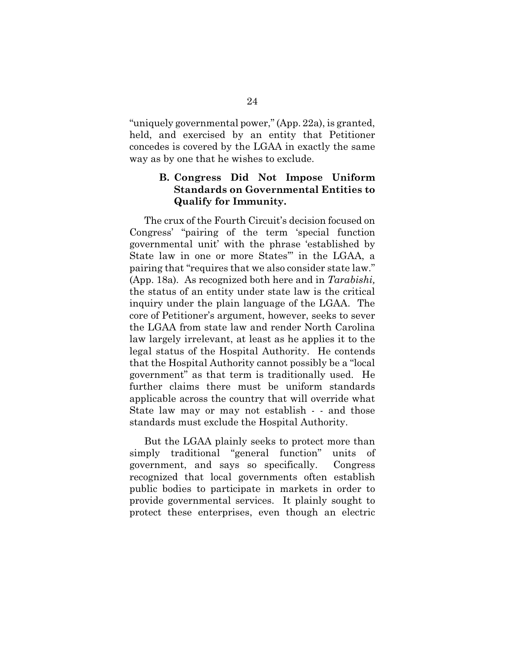"uniquely governmental power," (App. 22a), is granted, held, and exercised by an entity that Petitioner concedes is covered by the LGAA in exactly the same way as by one that he wishes to exclude.

## **B. Congress Did Not Impose Uniform Standards on Governmental Entities to Qualify for Immunity.**

The crux of the Fourth Circuit's decision focused on Congress' "pairing of the term 'special function governmental unit' with the phrase 'established by State law in one or more States'" in the LGAA, a pairing that "requires that we also consider state law." (App. 18a)*.* As recognized both here and in *Tarabishi,* the status of an entity under state law is the critical inquiry under the plain language of the LGAA. The core of Petitioner's argument, however, seeks to sever the LGAA from state law and render North Carolina law largely irrelevant, at least as he applies it to the legal status of the Hospital Authority. He contends that the Hospital Authority cannot possibly be a "local government" as that term is traditionally used. He further claims there must be uniform standards applicable across the country that will override what State law may or may not establish - - and those standards must exclude the Hospital Authority.

But the LGAA plainly seeks to protect more than simply traditional "general function" units of government, and says so specifically. Congress recognized that local governments often establish public bodies to participate in markets in order to provide governmental services. It plainly sought to protect these enterprises, even though an electric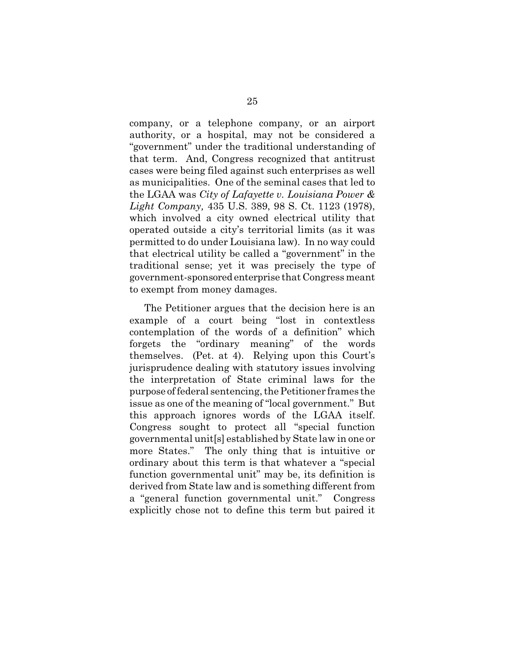company, or a telephone company, or an airport authority, or a hospital, may not be considered a "government" under the traditional understanding of that term. And, Congress recognized that antitrust cases were being filed against such enterprises as well as municipalities. One of the seminal cases that led to the LGAA was *City of Lafayette v. Louisiana Power & Light Company,* 435 U.S. 389, 98 S. Ct. 1123 (1978), which involved a city owned electrical utility that operated outside a city's territorial limits (as it was permitted to do under Louisiana law). In no way could that electrical utility be called a "government" in the traditional sense; yet it was precisely the type of government-sponsored enterprise that Congress meant to exempt from money damages.

The Petitioner argues that the decision here is an example of a court being "lost in contextless contemplation of the words of a definition" which forgets the "ordinary meaning" of the words themselves. (Pet. at 4). Relying upon this Court's jurisprudence dealing with statutory issues involving the interpretation of State criminal laws for the purpose of federal sentencing, the Petitioner frames the issue as one of the meaning of "local government." But this approach ignores words of the LGAA itself. Congress sought to protect all "special function governmental unit[s] established by State law in one or more States." The only thing that is intuitive or ordinary about this term is that whatever a "special function governmental unit" may be, its definition is derived from State law and is something different from a "general function governmental unit." Congress explicitly chose not to define this term but paired it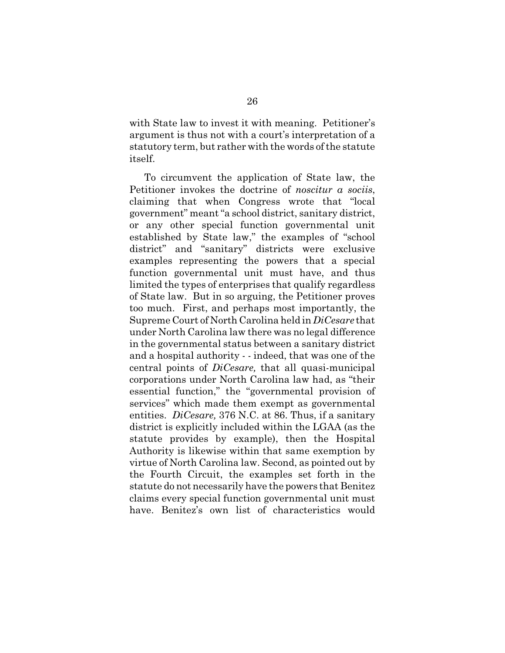with State law to invest it with meaning. Petitioner's argument is thus not with a court's interpretation of a statutory term, but rather with the words of the statute itself.

To circumvent the application of State law, the Petitioner invokes the doctrine of *noscitur a sociis*, claiming that when Congress wrote that "local government" meant "a school district, sanitary district, or any other special function governmental unit established by State law," the examples of "school district" and "sanitary" districts were exclusive examples representing the powers that a special function governmental unit must have, and thus limited the types of enterprises that qualify regardless of State law. But in so arguing, the Petitioner proves too much. First, and perhaps most importantly, the Supreme Court of North Carolina held in *DiCesare* that under North Carolina law there was no legal difference in the governmental status between a sanitary district and a hospital authority - - indeed, that was one of the central points of *DiCesare,* that all quasi-municipal corporations under North Carolina law had, as "their essential function," the "governmental provision of services" which made them exempt as governmental entities. *DiCesare,* 376 N.C. at 86. Thus, if a sanitary district is explicitly included within the LGAA (as the statute provides by example), then the Hospital Authority is likewise within that same exemption by virtue of North Carolina law. Second, as pointed out by the Fourth Circuit, the examples set forth in the statute do not necessarily have the powers that Benitez claims every special function governmental unit must have. Benitez's own list of characteristics would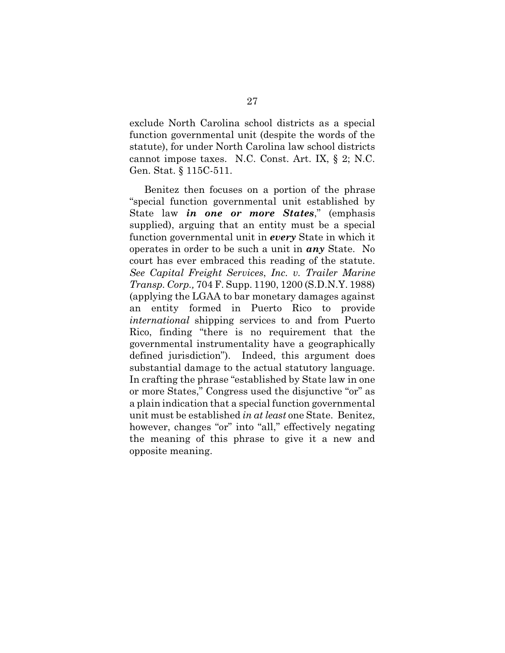exclude North Carolina school districts as a special function governmental unit (despite the words of the statute), for under North Carolina law school districts cannot impose taxes. N.C. Const. Art. IX, § 2; N.C. Gen. Stat. § 115C-511.

Benitez then focuses on a portion of the phrase "special function governmental unit established by State law *in one or more States*," (emphasis supplied), arguing that an entity must be a special function governmental unit in *every* State in which it operates in order to be such a unit in *any* State. No court has ever embraced this reading of the statute. *See Capital Freight Services*, *Inc. v. Trailer Marine Transp. Corp.,* 704 F. Supp. 1190, 1200 (S.D.N.Y. 1988) (applying the LGAA to bar monetary damages against an entity formed in Puerto Rico to provide *international* shipping services to and from Puerto Rico, finding "there is no requirement that the governmental instrumentality have a geographically defined jurisdiction"). Indeed, this argument does substantial damage to the actual statutory language. In crafting the phrase "established by State law in one or more States," Congress used the disjunctive "or" as a plain indication that a special function governmental unit must be established *in at least* one State. Benitez, however, changes "or" into "all," effectively negating the meaning of this phrase to give it a new and opposite meaning.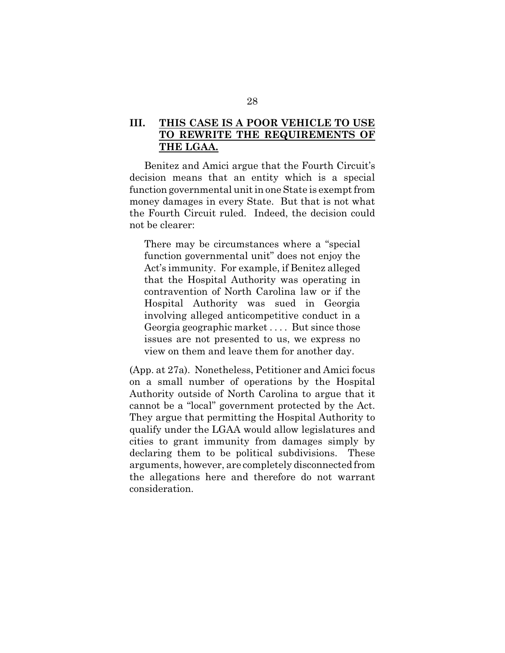## **III. THIS CASE IS A POOR VEHICLE TO USE TO REWRITE THE REQUIREMENTS OF THE LGAA.**

Benitez and Amici argue that the Fourth Circuit's decision means that an entity which is a special function governmental unit in one State is exempt from money damages in every State. But that is not what the Fourth Circuit ruled. Indeed, the decision could not be clearer:

There may be circumstances where a "special function governmental unit" does not enjoy the Act's immunity. For example, if Benitez alleged that the Hospital Authority was operating in contravention of North Carolina law or if the Hospital Authority was sued in Georgia involving alleged anticompetitive conduct in a Georgia geographic market . . . . But since those issues are not presented to us, we express no view on them and leave them for another day.

(App. at 27a). Nonetheless, Petitioner and Amici focus on a small number of operations by the Hospital Authority outside of North Carolina to argue that it cannot be a "local" government protected by the Act. They argue that permitting the Hospital Authority to qualify under the LGAA would allow legislatures and cities to grant immunity from damages simply by declaring them to be political subdivisions. These arguments, however, are completely disconnected from the allegations here and therefore do not warrant consideration.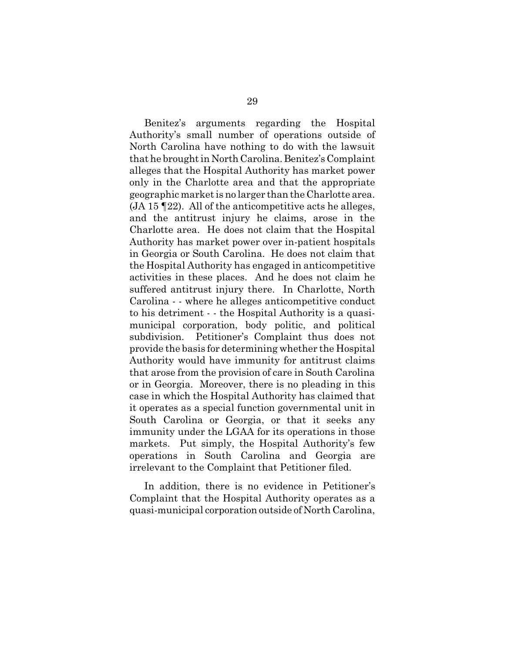Benitez's arguments regarding the Hospital Authority's small number of operations outside of North Carolina have nothing to do with the lawsuit that he brought in North Carolina. Benitez's Complaint alleges that the Hospital Authority has market power only in the Charlotte area and that the appropriate geographic market is no larger than the Charlotte area. (JA 15 ¶22). All of the anticompetitive acts he alleges, and the antitrust injury he claims, arose in the Charlotte area. He does not claim that the Hospital Authority has market power over in-patient hospitals in Georgia or South Carolina. He does not claim that the Hospital Authority has engaged in anticompetitive activities in these places. And he does not claim he suffered antitrust injury there. In Charlotte, North Carolina - - where he alleges anticompetitive conduct to his detriment - - the Hospital Authority is a quasimunicipal corporation, body politic, and political subdivision. Petitioner's Complaint thus does not provide the basis for determining whether the Hospital Authority would have immunity for antitrust claims that arose from the provision of care in South Carolina or in Georgia. Moreover, there is no pleading in this case in which the Hospital Authority has claimed that it operates as a special function governmental unit in South Carolina or Georgia, or that it seeks any immunity under the LGAA for its operations in those markets. Put simply, the Hospital Authority's few operations in South Carolina and Georgia are irrelevant to the Complaint that Petitioner filed.

In addition, there is no evidence in Petitioner's Complaint that the Hospital Authority operates as a quasi-municipal corporation outside of North Carolina,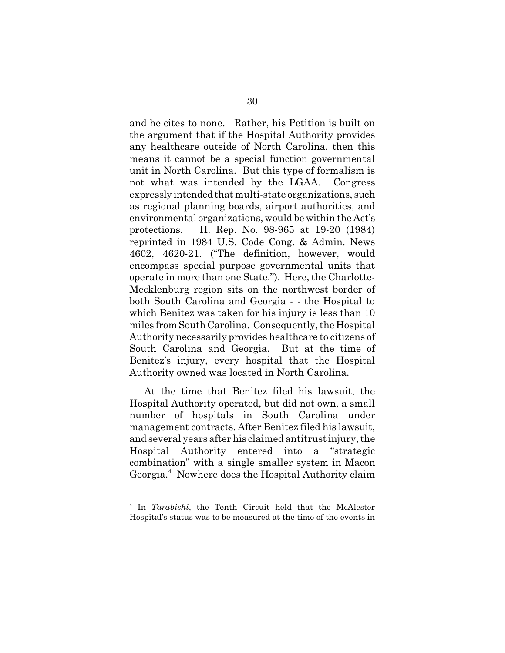and he cites to none. Rather, his Petition is built on the argument that if the Hospital Authority provides any healthcare outside of North Carolina, then this means it cannot be a special function governmental unit in North Carolina. But this type of formalism is not what was intended by the LGAA. Congress expressly intended that multi-state organizations, such as regional planning boards, airport authorities, and environmental organizations, would be within the Act's protections. H. Rep. No. 98-965 at 19-20 (1984) reprinted in 1984 U.S. Code Cong. & Admin. News 4602, 4620-21. ("The definition, however, would encompass special purpose governmental units that operate in more than one State."). Here, the Charlotte-Mecklenburg region sits on the northwest border of both South Carolina and Georgia - - the Hospital to which Benitez was taken for his injury is less than 10 miles from South Carolina. Consequently, the Hospital Authority necessarily provides healthcare to citizens of South Carolina and Georgia. But at the time of Benitez's injury, every hospital that the Hospital Authority owned was located in North Carolina.

At the time that Benitez filed his lawsuit, the Hospital Authority operated, but did not own, a small number of hospitals in South Carolina under management contracts. After Benitez filed his lawsuit, and several years after his claimed antitrust injury, the Hospital Authority entered into a "strategic combination" with a single smaller system in Macon Georgia.<sup>4</sup> Nowhere does the Hospital Authority claim

<sup>4</sup> In *Tarabishi*, the Tenth Circuit held that the McAlester Hospital's status was to be measured at the time of the events in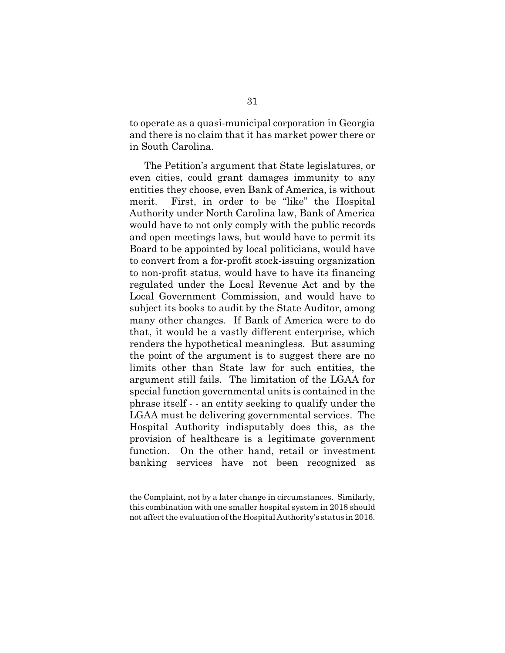to operate as a quasi-municipal corporation in Georgia and there is no claim that it has market power there or in South Carolina.

The Petition's argument that State legislatures, or even cities, could grant damages immunity to any entities they choose, even Bank of America, is without merit. First, in order to be "like" the Hospital Authority under North Carolina law, Bank of America would have to not only comply with the public records and open meetings laws, but would have to permit its Board to be appointed by local politicians, would have to convert from a for-profit stock-issuing organization to non-profit status, would have to have its financing regulated under the Local Revenue Act and by the Local Government Commission, and would have to subject its books to audit by the State Auditor, among many other changes. If Bank of America were to do that, it would be a vastly different enterprise, which renders the hypothetical meaningless. But assuming the point of the argument is to suggest there are no limits other than State law for such entities, the argument still fails. The limitation of the LGAA for special function governmental units is contained in the phrase itself - - an entity seeking to qualify under the LGAA must be delivering governmental services. The Hospital Authority indisputably does this, as the provision of healthcare is a legitimate government function. On the other hand, retail or investment banking services have not been recognized as

the Complaint, not by a later change in circumstances. Similarly, this combination with one smaller hospital system in 2018 should not affect the evaluation of the Hospital Authority's status in 2016.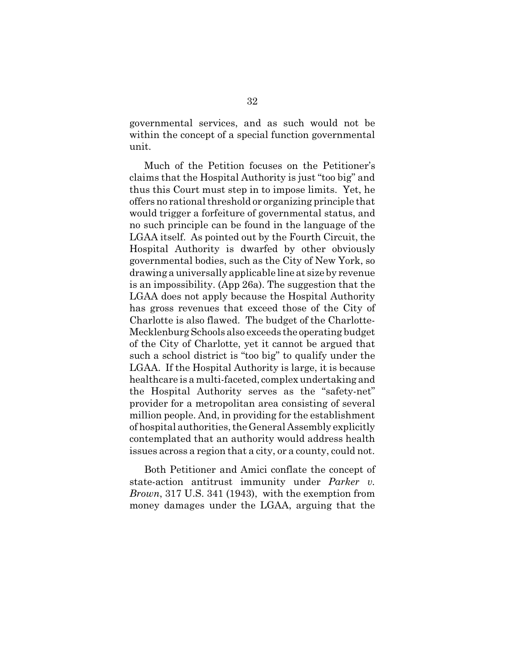governmental services, and as such would not be within the concept of a special function governmental unit.

Much of the Petition focuses on the Petitioner's claims that the Hospital Authority is just "too big" and thus this Court must step in to impose limits. Yet, he offers no rational threshold or organizing principle that would trigger a forfeiture of governmental status, and no such principle can be found in the language of the LGAA itself. As pointed out by the Fourth Circuit, the Hospital Authority is dwarfed by other obviously governmental bodies, such as the City of New York, so drawing a universally applicable line at size by revenue is an impossibility. (App 26a). The suggestion that the LGAA does not apply because the Hospital Authority has gross revenues that exceed those of the City of Charlotte is also flawed. The budget of the Charlotte-Mecklenburg Schools also exceeds the operating budget of the City of Charlotte, yet it cannot be argued that such a school district is "too big" to qualify under the LGAA. If the Hospital Authority is large, it is because healthcare is a multi-faceted, complex undertaking and the Hospital Authority serves as the "safety-net" provider for a metropolitan area consisting of several million people. And, in providing for the establishment of hospital authorities, the General Assembly explicitly contemplated that an authority would address health issues across a region that a city, or a county, could not.

Both Petitioner and Amici conflate the concept of state-action antitrust immunity under *Parker v. Brown*, 317 U.S. 341 (1943), with the exemption from money damages under the LGAA, arguing that the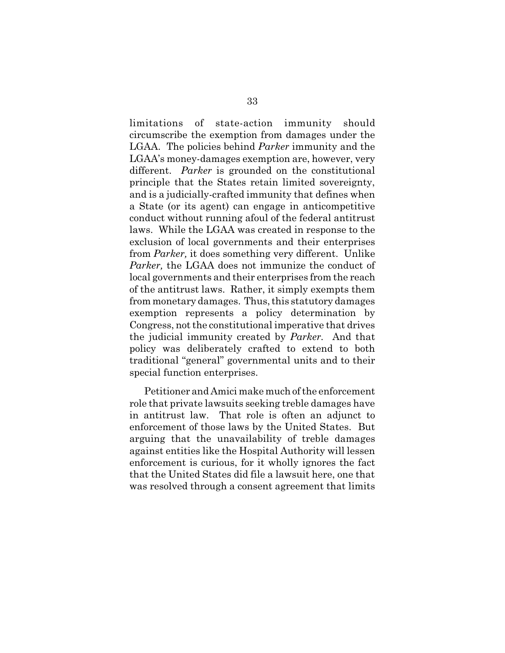limitations of state-action immunity should circumscribe the exemption from damages under the LGAA. The policies behind *Parker* immunity and the LGAA's money-damages exemption are, however, very different. *Parker* is grounded on the constitutional principle that the States retain limited sovereignty, and is a judicially-crafted immunity that defines when a State (or its agent) can engage in anticompetitive conduct without running afoul of the federal antitrust laws. While the LGAA was created in response to the exclusion of local governments and their enterprises from *Parker,* it does something very different. Unlike *Parker,* the LGAA does not immunize the conduct of local governments and their enterprises from the reach of the antitrust laws. Rather, it simply exempts them from monetary damages. Thus, this statutory damages exemption represents a policy determination by Congress, not the constitutional imperative that drives the judicial immunity created by *Parker.* And that policy was deliberately crafted to extend to both traditional "general" governmental units and to their special function enterprises.

Petitioner and Amici make much of the enforcement role that private lawsuits seeking treble damages have in antitrust law. That role is often an adjunct to enforcement of those laws by the United States. But arguing that the unavailability of treble damages against entities like the Hospital Authority will lessen enforcement is curious, for it wholly ignores the fact that the United States did file a lawsuit here, one that was resolved through a consent agreement that limits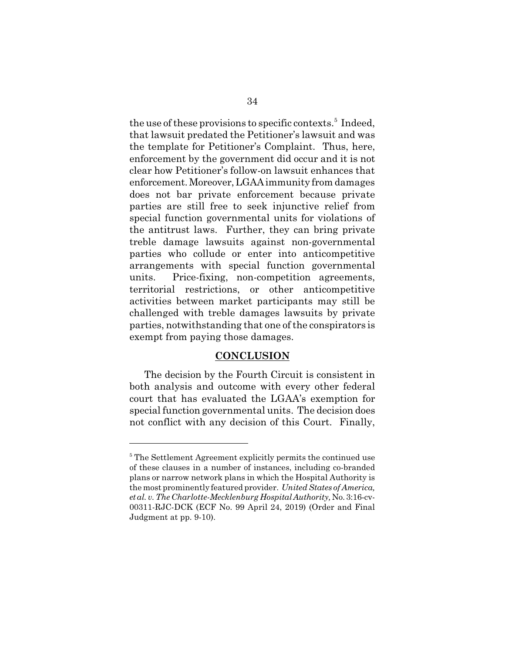the use of these provisions to specific contexts.<sup>5</sup> Indeed, that lawsuit predated the Petitioner's lawsuit and was the template for Petitioner's Complaint. Thus, here, enforcement by the government did occur and it is not clear how Petitioner's follow-on lawsuit enhances that enforcement. Moreover, LGAA immunity from damages does not bar private enforcement because private parties are still free to seek injunctive relief from special function governmental units for violations of the antitrust laws. Further, they can bring private treble damage lawsuits against non-governmental parties who collude or enter into anticompetitive arrangements with special function governmental units. Price-fixing, non-competition agreements, territorial restrictions, or other anticompetitive activities between market participants may still be challenged with treble damages lawsuits by private parties, notwithstanding that one of the conspirators is exempt from paying those damages.

### **CONCLUSION**

The decision by the Fourth Circuit is consistent in both analysis and outcome with every other federal court that has evaluated the LGAA's exemption for special function governmental units. The decision does not conflict with any decision of this Court. Finally,

<sup>&</sup>lt;sup>5</sup> The Settlement Agreement explicitly permits the continued use of these clauses in a number of instances, including co-branded plans or narrow network plans in which the Hospital Authority is the most prominently featured provider. *United States of America, et al. v. The Charlotte-Mecklenburg Hospital Authority,* No. 3:16-cv-00311-RJC-DCK (ECF No. 99 April 24, 2019) (Order and Final Judgment at pp. 9-10).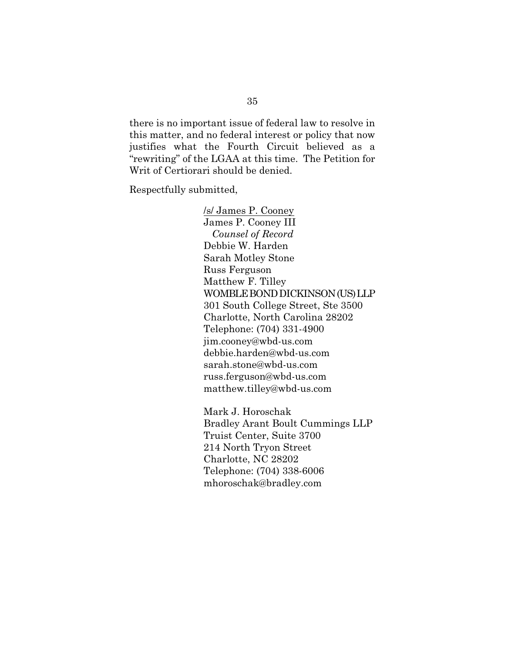there is no important issue of federal law to resolve in this matter, and no federal interest or policy that now justifies what the Fourth Circuit believed as a "rewriting" of the LGAA at this time. The Petition for Writ of Certiorari should be denied.

Respectfully submitted,

/s/ James P. Cooney James P. Cooney III *Counsel of Record* Debbie W. Harden Sarah Motley Stone Russ Ferguson Matthew F. Tilley WOMBLE BOND DICKINSON (US) LLP 301 South College Street, Ste 3500 Charlotte, North Carolina 28202 Telephone: (704) 331-4900 jim.cooney@wbd-us.com debbie.harden@wbd-us.com sarah.stone@wbd-us.com russ.ferguson@wbd-us.com matthew.tilley@wbd-us.com

Mark J. Horoschak Bradley Arant Boult Cummings LLP Truist Center, Suite 3700 214 North Tryon Street Charlotte, NC 28202 Telephone: (704) 338-6006 mhoroschak@bradley.com